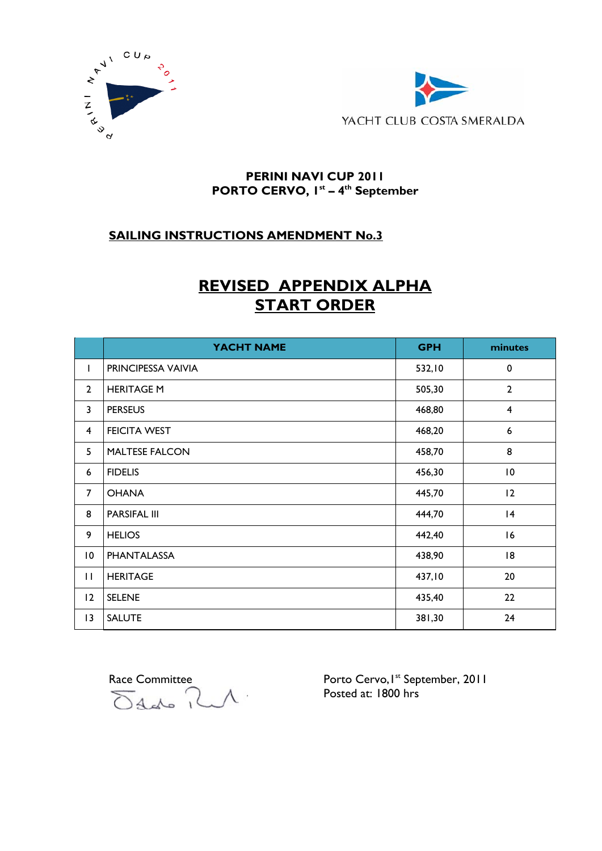



### **PERINI NAVI CUP 2011 PORTO CERVO, 1st – 4th September**

## **SAILING INSTRUCTIONS AMENDMENT No.3**

# **REVISED APPENDIX ALPHA START ORDER**

|                         | YACHT NAME            | <b>GPH</b> | minutes                 |
|-------------------------|-----------------------|------------|-------------------------|
| L                       | PRINCIPESSA VAIVIA    | 532,10     | 0                       |
| $\overline{2}$          | <b>HERITAGE M</b>     | 505,30     | $\overline{2}$          |
| 3                       | <b>PERSEUS</b>        | 468,80     | $\overline{\mathbf{4}}$ |
| $\overline{\mathbf{4}}$ | <b>FEICITA WEST</b>   | 468,20     | 6                       |
| 5                       | <b>MALTESE FALCON</b> | 458,70     | 8                       |
| 6                       | <b>FIDELIS</b>        | 456,30     | $\overline{10}$         |
| $\overline{7}$          | <b>OHANA</b>          | 445,70     | 12                      |
| 8                       | <b>PARSIFAL III</b>   | 444,70     | 4                       |
| 9                       | <b>HELIOS</b>         | 442,40     | 16                      |
| $\overline{10}$         | <b>PHANTALASSA</b>    | 438,90     | 18                      |
| $\mathbf{H}$            | <b>HERITAGE</b>       | 437,10     | 20                      |
| 12                      | <b>SELENE</b>         | 435,40     | 22                      |
| 13                      | <b>SALUTE</b>         | 381,30     | 24                      |

Race Committee<br>Odds RM

Porto Cervo, I<sup>st</sup> September, 2011<br>Posted at: 1800 hrs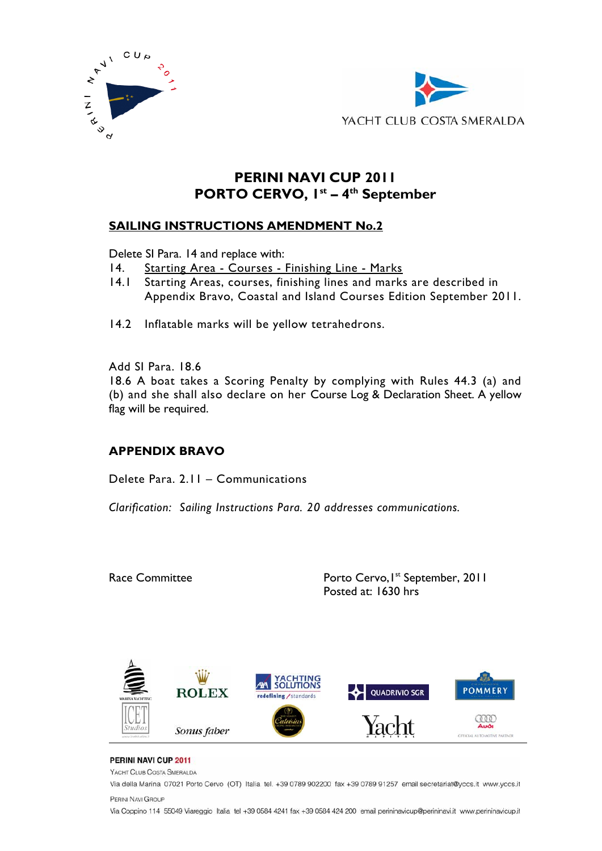



# **PERINI NAVI CUP 2011 PORTO CERVO, 1st – 4th September**

### **SAILING INSTRUCTIONS AMENDMENT No.2**

Delete SI Para. 14 and replace with:

- 14. Starting Area Courses Finishing Line Marks
- 14.1 Starting Areas, courses, finishing lines and marks are described in Appendix Bravo, Coastal and Island Courses Edition September 2011.
- 14.2 Inflatable marks will be yellow tetrahedrons.

Add SI Para. 18.6 18.6 A boat takes a Scoring Penalty by complying with Rules 44.3 (a) and (b) and she shall also declare on her Course Log & Declaration Sheet. A yellow flag will be required.

## **APPENDIX BRAVO**

Delete Para. 2.11 – Communications

*Clarification: Sailing Instructions Para. 20 addresses communications.*

Race Committee **Porto Cervo, I**st September, 2011 Posted at: 1630 hrs



#### PERINI NAVI CUP 2011

YACHT CLUB COSTA SMERALDA

Via della Marina 07021 Porto Cervo (OT) Italia tel. +39 0789 902200 fax +39 0789 91257 email secretariat@yccs.it www.yccs.it PERINI NAVI GROUP

Via Coppino 114 55049 Viareggio Italia tel +39 0584 4241 fax +39 0584 424 200 email perininavicup@perininavi.it www.perininavicup.it